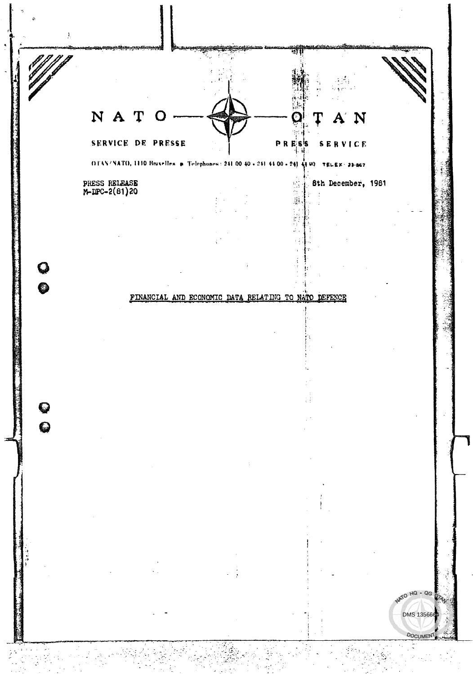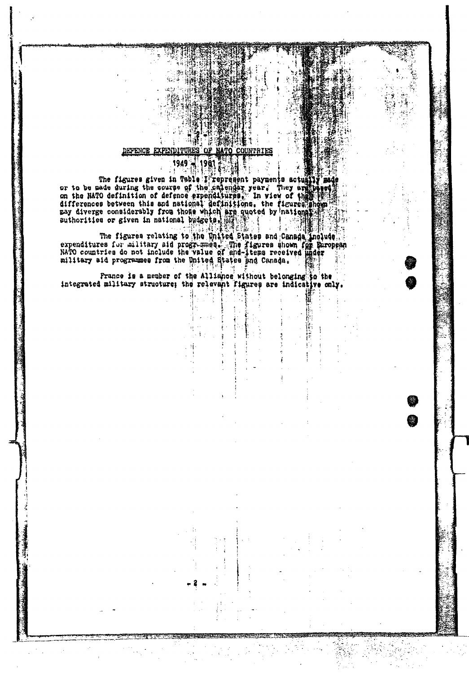### "?"指指 DEFENCE EXPENDITURES OF NATO COUNTRIES

 $1991 -$ 1949

ñ (

The figures given in Tshle I represent payments actually made<br>or to be made during the course of the calendar year. They examined<br>on the NATO definition of defence expenditures. In view of the signal<br>differences between th

The figures relating to the United States and Canada Include<br>expenditures for military aid programmes. The figures shown for paropean<br>NATO countries do not include the value of and liters received under<br>military aid progra

France is a member of the Alliance without belonging to the integrated military structure; the relevant figures are indicative only.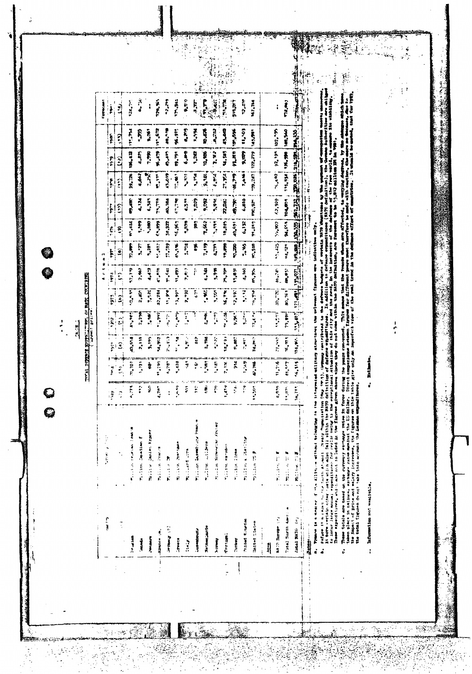$\begin{array}{c} 1 \\ 1 \\ 1 \end{array}$ 

0<br>0

**LASKE** 

TIME PERSONS LIBRARY OF THE COUNTRY LAND

|    | $\ddot{\cdot}$<br>j                                  | $\ddot{\ddot{\cdot}}$                                                                                                                                                                                                                                                                    |                      |                    |                                 |                    |                  |                                                                                                                                                                                                    |                            |              |                         |                                                                                                                                                                                                                                |                             |                | t president 4                                                                                                                                                                                                                                                                                                                         |                      |   |
|----|------------------------------------------------------|------------------------------------------------------------------------------------------------------------------------------------------------------------------------------------------------------------------------------------------------------------------------------------------|----------------------|--------------------|---------------------------------|--------------------|------------------|----------------------------------------------------------------------------------------------------------------------------------------------------------------------------------------------------|----------------------------|--------------|-------------------------|--------------------------------------------------------------------------------------------------------------------------------------------------------------------------------------------------------------------------------|-----------------------------|----------------|---------------------------------------------------------------------------------------------------------------------------------------------------------------------------------------------------------------------------------------------------------------------------------------------------------------------------------------|----------------------|---|
|    | ر<br>پيد                                             | 计可变 医前臂                                                                                                                                                                                                                                                                                  |                      |                    |                                 |                    |                  |                                                                                                                                                                                                    |                            |              |                         |                                                                                                                                                                                                                                |                             |                | $\frac{1}{2}$                                                                                                                                                                                                                                                                                                                         |                      |   |
|    |                                                      |                                                                                                                                                                                                                                                                                          | 1.19                 | į                  |                                 | i it               | ŗ,               | İ<br>1974                                                                                                                                                                                          |                            |              |                         | ţ                                                                                                                                                                                                                              | း<br>(၁)                    | Š              | $\frac{1}{1}$<br>į                                                                                                                                                                                                                                                                                                                    |                      |   |
|    | $\ddot{\cdot}$                                       |                                                                                                                                                                                                                                                                                          |                      |                    | 3                               | $\hat{\mathbf{c}}$ | 희                | Ê,                                                                                                                                                                                                 | ê                          | ŝ            | ŝ                       | $\frac{1}{2}$                                                                                                                                                                                                                  | $\tilde{\mathbf{S}}$        | Î              | $\mathbf{L}$                                                                                                                                                                                                                                                                                                                          |                      |   |
|    |                                                      | 医胃切除术 医血管病 医血管病                                                                                                                                                                                                                                                                          | $A_{\bullet}$ . The  | 0.707              | 47.654                          | ines,              | $\frac{1}{2}$    | 641'45                                                                                                                                                                                             | <b>Refere</b>              | n,           | in ter                  | <b>RE. 60</b>                                                                                                                                                                                                                  | 106,412                     | Š              | $22.7^{\circ}$                                                                                                                                                                                                                                                                                                                        |                      |   |
|    | 「ままない やくこう                                           |                                                                                                                                                                                                                                                                                          |                      |                    |                                 |                    |                  |                                                                                                                                                                                                    |                            |              |                         |                                                                                                                                                                                                                                |                             |                |                                                                                                                                                                                                                                                                                                                                       |                      |   |
|    | <b>Read</b> :                                        | Marches, Japanese P                                                                                                                                                                                                                                                                      | î                    | ř.                 | 2,111                           | ्रेश्री            | ត្មុ             | 2,862                                                                                                                                                                                              | isi vi                     | i.           | i,                      | 4,642                                                                                                                                                                                                                          | 4,875                       | Ŝ              | بر<br>م                                                                                                                                                                                                                                                                                                                               |                      |   |
|    | <b>The Mary's</b>                                    | rentries corner within                                                                                                                                                                                                                                                                   | Ş                    | ŧ                  | وجددو                           | Ĭ,                 | as or            | 4.439                                                                                                                                                                                              | <b>Web</b>                 | Š,           | t.se                    | اندو.<br>ا                                                                                                                                                                                                                     | 7.590                       | i<br>S         | i                                                                                                                                                                                                                                                                                                                                     |                      |   |
|    | <b>All europe</b>                                    | 医肾上腺 医心理学                                                                                                                                                                                                                                                                                | 1,767                | er er              | isé°n                           | $-2942$            | 12,784           | <b>City</b>                                                                                                                                                                                        | ite of                     | <b>SPA</b>   | i,                      | 長い                                                                                                                                                                                                                             | 费米                          | 111,672        | in vi                                                                                                                                                                                                                                                                                                                                 |                      |   |
|    | <b>Commanders</b>                                    | 医反应反应                                                                                                                                                                                                                                                                                    |                      | 4,75               | $1.13^{+1.2}$                   | $\frac{1}{4}$      | $\sum_{i=1}^{n}$ | 7.541                                                                                                                                                                                              | 51.709                     | 32,927       | 40, 184                 | <b>SPORT</b>                                                                                                                                                                                                                   | 61.6                        | <b>28.57</b>   | -2,279                                                                                                                                                                                                                                                                                                                                |                      |   |
|    | <b>Service</b>                                       | <b>CONTRACTOR</b>                                                                                                                                                                                                                                                                        |                      | -. 128             | i<br>S                          | i<br>i             | ۶۹.۶             | idari.                                                                                                                                                                                             | 41,976                     | 56.967       | 学行会                     | $\ddot{\ddot{\theta}}$                                                                                                                                                                                                         | EP. TP                      | 96.31°         | i                                                                                                                                                                                                                                                                                                                                     |                      |   |
|    | $\ddot{a}$                                           | <b>Residents</b>                                                                                                                                                                                                                                                                         | š                    | ž                  | $\frac{1}{2}$                   | Ę                  | 2. - 92          | 7,47                                                                                                                                                                                               | Ř                          | Ş,           | ្ន                      | م<br>مراجع                                                                                                                                                                                                                     | <b>ON'9</b>                 | ونندمه         | 0.550                                                                                                                                                                                                                                                                                                                                 |                      |   |
|    | <b>ATTACCOMETY</b>                                   | Pitar International Press                                                                                                                                                                                                                                                                | Ê                    | ÷                  | ŝ                               |                    | Š                | ř                                                                                                                                                                                                  | ř                          | İ.           | 50.5                    | i,                                                                                                                                                                                                                             | 1,207                       | Š              | i<br>Fi                                                                                                                                                                                                                                                                                                                               |                      | Ç |
|    | Matter and                                           | <b>MARINE AND SERVICE</b>                                                                                                                                                                                                                                                                | Ç,                   | i.                 | a, pa                           | i,                 | $\ddot{\bm{x}}$  | ar.<br>S                                                                                                                                                                                           | ייני<br>י                  | 7.82         | 56.6                    | $5 - 34$                                                                                                                                                                                                                       | 10,106                      | 10.4%          |                                                                                                                                                                                                                                                                                                                                       |                      |   |
|    | yamay                                                | <b>RECORD SERVICE SERVICES</b>                                                                                                                                                                                                                                                           | e,                   | i<br>P             | $\ddot{\phantom{a}}$            | <b>فيف</b>         | š.               | <b>M675</b>                                                                                                                                                                                        | i<br>Tu                    | <b>Ferre</b> | <b>Dian's</b>           | i<br>Parti                                                                                                                                                                                                                     | <b>P. W. 7</b>              | ووتهاد         | ł<br>$\frac{1}{2}$<br>1000                                                                                                                                                                                                                                                                                                            |                      |   |
|    | fortum:                                              | Multime earliest                                                                                                                                                                                                                                                                         | i, si                | 7.17C              | ite, en                         | $\ddot{a}$         | أهدونهم          | r, m                                                                                                                                                                                               | 19,878                     | 18,337       | $\ddot{\mathbf{z}}$ as: | i.<br>N                                                                                                                                                                                                                        | ia, si                      | a)<br>S        | だいい                                                                                                                                                                                                                                                                                                                                   |                      |   |
|    | Turkin'                                              | Visitor ilma                                                                                                                                                                                                                                                                             | ţ                    | ž                  | P. MO                           | ,,,,               | 2,197            | 17,031                                                                                                                                                                                             | <b>Recipe</b>              | en, sa       | ∕°<br>୧                 | $6 - 36$                                                                                                                                                                                                                       | PLACE.                      | 197,476        | ראה<br>השניים                                                                                                                                                                                                                                                                                                                         |                      |   |
|    | Triand Kingdom                                       | 医肠切开术 医前缀的                                                                                                                                                                                                                                                                               | ŗ                    | 5.4.9              | i<br>C                          |                    |                  | 4,160                                                                                                                                                                                              | <b>SAMS</b>                | A.IR         | 6,810                   | 1,410                                                                                                                                                                                                                          | 9,1279                      | io, 11         | 12,215                                                                                                                                                                                                                                                                                                                                |                      |   |
|    | United Lates                                         | we end and the                                                                                                                                                                                                                                                                           | $\ddot{\phantom{0}}$ | av., má            | ia, ki                          | ra era             | $-250$           | <b>TK, 90.</b>                                                                                                                                                                                     | <b>BRG</b> <sup>9</sup> 28 | 510.19       | <b>TRO, 92*</b>         | חיב, מיי                                                                                                                                                                                                                       | 122, 279                    | <b>TASSERS</b> | 167,750                                                                                                                                                                                                                                                                                                                               |                      |   |
| ij |                                                      |                                                                                                                                                                                                                                                                                          |                      |                    |                                 |                    |                  |                                                                                                                                                                                                    |                            |              |                         |                                                                                                                                                                                                                                |                             |                |                                                                                                                                                                                                                                                                                                                                       |                      |   |
|    | <b>SAIN Barope 107</b>                               | 医肾上腺炎                                                                                                                                                                                                                                                                                    | $1.8\%$              | 942.11             | 11,492                          | i.<br>S            | $n - \pi$        | 46,245                                                                                                                                                                                             | $\frac{1}{2}$              | 200.45       | 1.7,929                 | 3.69, 57                                                                                                                                                                                                                       | 92, 194                     | نور *نها أ     |                                                                                                                                                                                                                                                                                                                                       |                      |   |
|    | Total North North a                                  | 無語法言語解                                                                                                                                                                                                                                                                                   | $\ddot{r}$           | 41,57              | $\mathcal{M}_\bullet$ or $\eta$ | <b>Labe</b>        | 80.761           | (m, 0)                                                                                                                                                                                             | 94, 127                    | Se, Se       | 104,801                 | interit                                                                                                                                                                                                                        | 176.990                     | <b>DAY'DEL</b> | <b>TIZ, MA)</b>                                                                                                                                                                                                                                                                                                                       |                      |   |
|    | Total NATO Imp                                       |                                                                                                                                                                                                                                                                                          | in, in               | 111.91             | 104, M.                         | <b>Earth</b>       | <b>ENSINE</b>    |                                                                                                                                                                                                    |                            |              |                         | All the control of the control of which is the control of the control of the control of the control of the control of the control of the control of the control of the control of the control of the control of the control of |                             |                |                                                                                                                                                                                                                                                                                                                                       |                      |   |
|    | $ \frac{\text{Re} \text{Lip}}{\text{Re} \text{Lip}}$ | $\frac{1}{2}$                                                                                                                                                                                                                                                                            |                      | j                  |                                 |                    |                  |                                                                                                                                                                                                    |                            |              |                         |                                                                                                                                                                                                                                |                             |                |                                                                                                                                                                                                                                                                                                                                       | $\ddot{\phantom{0}}$ |   |
| i  |                                                      | Transforment of the Allingent Collection of the information of the studies of the collection of the Cignate and indication cally                                                                                                                                                         |                      |                    |                                 |                    |                  |                                                                                                                                                                                                    |                            |              |                         |                                                                                                                                                                                                                                |                             |                |                                                                                                                                                                                                                                                                                                                                       |                      |   |
|    |                                                      | It the certain cotter ( note which also fall within the NATO d<br>to incur large minimal expenditure: for Perilin perin that is the main<br>These expenditures, which maps for left and in the figures site<br>Refuse 11 is called that the Sach Artwork Trees people from the 11 ending |                      |                    |                                 |                    |                  | amount of the constitute of the stretches is showng consider and or protections functions of the first first one<br>meptional mituation of this city mod the need, in the instances of the defence |                            |              |                         | . We have simple they do not come with an indicate of this contribution of the state of the state of the state of the state of the state of the state of the state of the state of the state of the state of the state of the  | and with state of the first |                | stinition of defining expenditures. In addition to defense expenditures (HATO definition), the German Authorities are allied<br>of the free world, to excess lie winkling.                                                                                                                                                            | ور دیگر<br>پیش       |   |
| ċ  |                                                      | These totals are based on the currency earbange rates in force during the years concerned.<br>taken place in national errhames rates maningi the US dollar.<br>the impact of price and salary increases, this figure on this                                                             |                      | Inble give only an |                                 |                    |                  |                                                                                                                                                                                                    |                            |              |                         |                                                                                                                                                                                                                                |                             |                | imperfect view of the seal trand in the defunce offert of complitions. It when a model, that for T919,<br>This means that the transis shown give affected, to verying degrees, by the ghospy shick tensor<br>Direct comparisons between Tirures for Aifferent pears west therefore be ande with castion, the same so technos. She for |                      |   |
|    |                                                      | promites trement out. turnation oruly state the users into a control                                                                                                                                                                                                                     | tures                |                    |                                 |                    |                  |                                                                                                                                                                                                    |                            |              |                         |                                                                                                                                                                                                                                |                             |                |                                                                                                                                                                                                                                                                                                                                       |                      |   |

 $-12 - 1$ 

... Information not weatlet.

HE.

ý,

 $\mathbb{R}^m$ 

 $\ddot{\psi}$ 

j.

Ĩ

a, Bathman,

 $\frac{1}{2}$ 

l.

 $\begin{pmatrix} 1 & 1 \\ 1 & 1 \\ 1 & 1 \end{pmatrix}$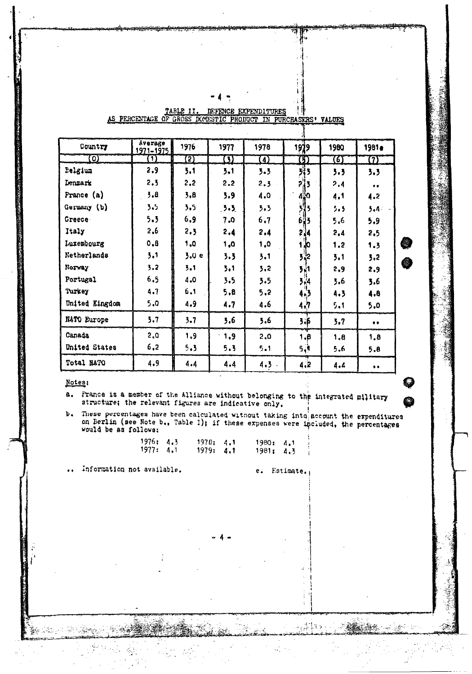| Country               | Average<br>1971-1975 | 1976              | 1977   | 1978    | 1979         | 1980 | <b>1981e</b> |
|-----------------------|----------------------|-------------------|--------|---------|--------------|------|--------------|
| $\boldsymbol{\omega}$ | $\mathbf{1}$         | $\left( 5\right)$ | σ      | 4)      | $\mathbf{E}$ | (6)  | $\bm{U}$     |
| Eelgium               | 2,9                  | 5.1               | 3.1    | 3.3     | 3i 3         | 3.3  | 3.3          |
| Denmark               | 2.3                  | 2,2               | 2,2    | 2.3     | 21           | 2.4  | $\bullet$    |
| France $(a)$          | 3.8                  | 3.8               | 3.9    | 4.0     | 450          | 4.1  | 4.2          |
| Germany (b)           | 3.5                  | 3.5               | 3.3    | 3.3     |              | 3.5  | 5.4-         |
| Greece -              | 5.3                  | 6.9               | 7.0    | 6,7     | 93<br>b      | 5,6  | 5.9          |
| Italy                 | 2,6                  | 2.3               | 2.4    | 2.4     | 34           | 2,4  | 2,5          |
| Luxembourg            | 0.8                  | 1,0               | 1,0    | 1,0     | <b>Jo</b>    | 1,2  | 1.3          |
| Netherlands           | 3.1                  | 3.0 e             | 3.3    | 3.1     | }¦2          | 3.1  | 3,2          |
| Norway                | 3,2                  | 3.1               | 3.1    | 3.2     | 3,1          | 2,9  | 2,9          |
| Portugal              | 6.5                  | 4.0               | 3.5    | 3.5     | 3,4          | 3.6  | 3.6          |
| Turkey                | 4.7                  | 6.1               | 5.8    | 5,2     | 4.3          | 4.3  | 4.8          |
| United Kingdom        | 5.0                  | 4.9               | 4.7    | 4.6     | 4,7          | 5.1  | 5.0          |
| NATO Europe           | 3.7                  | 3.7               | 3.6    | 3.6     | 3.5          | 3.7  | $\bullet$    |
| Canada                | 2.0                  | 1.9               | $-1.9$ | 2.0     | 1.8          | 1.8  | 1.8          |
| United States         | 6,2                  | 5.3               | 5.3    | 5.1     | 5, 9         | 5.6  | 5.8          |
| Total NATO            | 4.9                  | 4.4               | 4.4    | $4.3 -$ | 4.2          | 4.4  | $\bullet$    |

# 

#### Notes:

<del>المتحدة المحادية المتحدة المحادي</del>ة

France is a member of the Alliance without belonging to the integrated military a. structure; the relevant figures are indicative only.

These percentages have been calculated without taking into account the expenditures  $\mathbf{b}$ . on Berlin (see Note b., Table I); if these expenses were included, the percentages would be as follows:

> $1978: 4.1$ <br>1979: 4.1  $1976: 4.3$  $1980: 4.1$  $1977: 4.1$ 1981: 4.3

Information not available.

e. Estimate.

و ډارې<br>د دارې

á÷.

جها با كَخْرُونُ كِيسَام

敛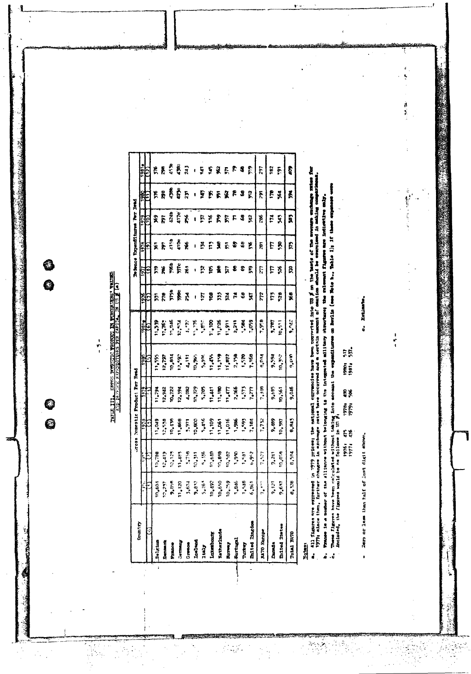$\frac{1}{2}$ 

용

**Participate Andrews** 

4

0<br>0

IANES III. CROSS DOSSE NORTIC TRONDET IN TERCHARDES VALUES.<br>ACD DESTRUCTE EXPERIMENT PER CAPITAL IN US E (a)

| Cruit Ty                                                                                                   |                   |              | Tes Romentic Product Per                                                                     |                                                                                                                                                                | š                       |            |              |                    | <b>De Reno experience even</b> |                       | Į                                      |                         |
|------------------------------------------------------------------------------------------------------------|-------------------|--------------|----------------------------------------------------------------------------------------------|----------------------------------------------------------------------------------------------------------------------------------------------------------------|-------------------------|------------|--------------|--------------------|--------------------------------|-----------------------|----------------------------------------|-------------------------|
|                                                                                                            | i,                |              | 1978                                                                                         | $\frac{2}{3}$                                                                                                                                                  |                         | 1981       | 576          |                    |                                | 38                    | 1382                                   |                         |
|                                                                                                            |                   |              |                                                                                              |                                                                                                                                                                | 136                     | Q          | Θ            | 55                 |                                |                       |                                        |                         |
| Belgium                                                                                                    | $n_{\bullet}$ 604 | 104708       | 1.049                                                                                        | 1,294                                                                                                                                                          | 1,555                   |            |              |                    |                                |                       |                                        |                         |
| Denmark                                                                                                    |                   |              |                                                                                              |                                                                                                                                                                |                         |            |              |                    |                                |                       |                                        |                         |
| 172000                                                                                                     |                   |              |                                                                                              |                                                                                                                                                                |                         |            |              |                    |                                |                       |                                        |                         |
| <b>Command</b>                                                                                             |                   |              |                                                                                              |                                                                                                                                                                |                         |            |              | <u>និង្គនី និង</u> |                                |                       |                                        | r F Č Š J               |
|                                                                                                            |                   |              |                                                                                              |                                                                                                                                                                |                         |            | 医胃尿道胃过,尿囊清清病 |                    | <b>ទៀនន</b> ដំដំន              | RES SER I E E REF 8 R | <b>គ្គត្តីដូតូ ខេត្តន្ត្តី គ្នា</b> គ្ |                         |
|                                                                                                            |                   |              |                                                                                              |                                                                                                                                                                |                         |            |              |                    | $\mathbf{I}$                   |                       |                                        |                         |
| $\begin{array}{c}\n 0 \text{ means } \\  1 \text{ on } 3 \text{ and } \\  1 \text{ only } \\  \end{array}$ |                   |              |                                                                                              |                                                                                                                                                                |                         |            |              |                    |                                |                       |                                        |                         |
| Luxesboarg                                                                                                 |                   |              |                                                                                              |                                                                                                                                                                |                         |            |              |                    |                                |                       |                                        |                         |
| Ketherland                                                                                                 |                   |              |                                                                                              |                                                                                                                                                                |                         |            |              | ្រុងស្នួងនេះ       | <b>ADARDER</b>                 |                       |                                        | $15585$ $R$ $R$ $R$ $R$ |
| Rommy                                                                                                      |                   |              |                                                                                              |                                                                                                                                                                |                         |            |              |                    |                                |                       |                                        |                         |
| <b>Portugal</b>                                                                                            |                   |              |                                                                                              |                                                                                                                                                                |                         |            |              |                    |                                |                       |                                        |                         |
| Turkey                                                                                                     |                   |              |                                                                                              |                                                                                                                                                                |                         |            |              |                    |                                |                       |                                        |                         |
| <b>United Magdom</b>                                                                                       |                   |              | 12,538<br>10,4868<br>10,4868<br>10,4868<br>1,598,11,1008<br>1,1008,11,1008<br>1,1008,11,1008 | $\frac{12,322}{12,356}$<br>$\frac{12,356}{12,356}$<br>$\frac{12,356}{12,356}$<br>$\frac{12,356}{12,356}$<br>$\frac{12,356}{12,356}$<br>$\frac{12,356}{12,356}$ |                         |            |              |                    |                                |                       |                                        |                         |
| <b>NATO Except</b>                                                                                         | $7.14\%$          | 7,577        | 7.72                                                                                         | 1,909                                                                                                                                                          | <b>B.O.A</b>            | 7,958      | $\ddot{\pi}$ | Ľ                  | Ē                              | 362                   | $\mathbf{r}$                           | 162                     |
| Durada                                                                                                     | $9.121$           | 9.241        | 9,489                                                                                        | 9,685                                                                                                                                                          |                         | $10^{1.6}$ | 778          | $\frac{1}{2}$      | E R                            | ĦЯ                    | 58                                     | $\overline{182}$        |
| <b>Thited States</b>                                                                                       | 9,637             | 10,058       | 10,387                                                                                       | 10,561                                                                                                                                                         | <b>DE 101</b><br>Pós 06 | 11.511     |              |                    |                                |                       |                                        | $\overline{\mathbf{5}}$ |
| Total NATO                                                                                                 | 8,328             | <b>B.584</b> | 8,845                                                                                        | 9.046                                                                                                                                                          | ara"                    | 270°6      | X8           | r,                 | £                              | â                     | Ă                                      | Ş                       |
|                                                                                                            |                   |              |                                                                                              |                                                                                                                                                                |                         |            |              |                    |                                |                       |                                        |                         |

**Notary** 

 $\frac{\partial}{\partial x} \left( \frac{\partial}{\partial x} \right)$ 

ģ,

a. All figures are expressed in 1979 prices: the national correntsies have been converted into US at the baria of the avenue enchange rates for<br>1979: aince then, further changes in aschmage rates have occurred and a certai

b. These is a sender of the Alliance without belonging is the integrated military chronouser the riggers are indicative enly.<br>In These figures have been calculated without taking into soomst the expenditures on Berlin (see

Zero or less than half of last digit shown.  $\cdot$ 

o. Estimbo.

 $\frac{1}{2}$ 

化生物 医神经

Ķ

ĩ,

医生物

 $\ddot{\tilde{a}}$ 

精神行走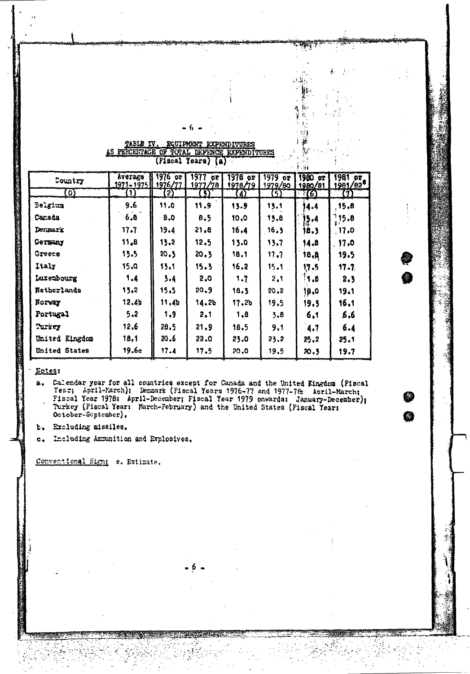| EQUIPMENT EXPENDITURES | .        |
|------------------------|----------|
| FENCE EXPENDITURES     |          |
| (Fiscal Years) (a)     | $\cdots$ |
|                        |          |

6

، باران

 $\cdot$  $\tilde{A}$ k,  $\mathbf{r}$  , .<br>بالمنا

不知

ł k.<br>K

a

| Country              | yatake<br>1971-1975 1976/77 | $1976$ or         | 1977<br>or<br>1977/78 | $1976$ or<br>1978/79 | $1979$ or<br>1979/80 | $1900$ or<br>1980/81 | 1981 or<br>1981/82 <sup>0</sup> |
|----------------------|-----------------------------|-------------------|-----------------------|----------------------|----------------------|----------------------|---------------------------------|
| 0)                   | $\bf{1)}$                   | $\left( 2\right)$ | $\omega$              | <u>(4)</u>           | 5)                   | T(6)                 | (7)                             |
| Belgium              | 9.6                         | 11.0              | 11.9                  | 13.9                 | 13.1                 | 4.4                  | 15,8                            |
| Canada               | 6,8                         | 8,0               | 8.5                   | 10, 0                | 13.8                 | 5.4                  | 115.8<br>χi                     |
| Denmark              | 17.7                        | 19.4              | 31.8                  | 16.4                 | 16.3                 | 18.3                 | 17.0                            |
| Germany              | 11,8                        | 13.2              | 12.5                  | 13.0                 | 13.7                 | 14.8                 | 17.0                            |
| Greece               | 13.5                        | 20,5              | 20.3                  | 18,1                 | 17.7                 | 18.8                 | 19.5                            |
| Italy                | 15.0                        | 13.1              | 15.3                  | 16.2                 | 15.1                 | 17.5                 | 17.7                            |
| Luxembourg           | 1,4                         | 3.4               | 2.0                   | 1.7                  | 2,1                  | 1,8                  | 2, 5                            |
| Netherlands          | 13.2                        | 15.5              | 20.9                  | 18.3                 | 20.2                 | 18,0                 | 19.1                            |
| Norway               | 12.4 <sub>b</sub>           | 11.4 <sub>b</sub> | 14.2b                 | 17.2 <sub>b</sub>    | 19.5                 | 19.3                 | 16,1                            |
| Portugal             | 5.2                         | 1.9               | 2.1                   | 1.8                  | 3.8                  | 6.1                  | 6,6                             |
| Turkey               | 12.6                        | 28.5              | 21.9                  | 18.5                 | 9.1                  | 4.7                  | 6.4                             |
| United Kingdom       | 18.1                        | 20.6              | 22.0                  | 23.0                 | 23.2                 | 25.2                 | 25.1                            |
| <b>United States</b> | 19.6c                       | 17.4              | 17.5                  | 20.0                 | 19.5                 | 20.5                 | 19.7                            |

#### **Kotes:**

Calendar year for all countries except for Canada and the United Kingdom (Fiscal Yezr; April-March); Denmark (Fiscal Years 1976-77 and 1977-78; April-March; Fiscal Year 1978; April-December; Fiscal Year 1979 onwards: Janua a.

6

t. Excluding missiles.

Including Ammunition and Explosives.  $c_{\bullet}$ 

Conventional Sign: e. Estimate.